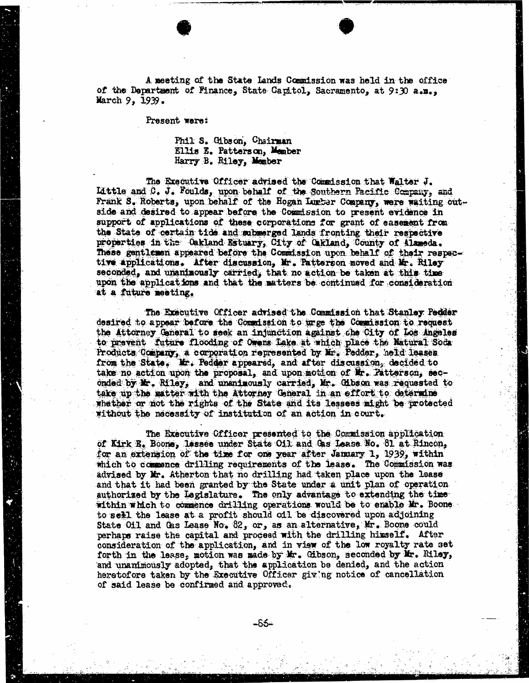A meeting of the State Lands Commission was held in the office<br>of the Department of Finance, State Capitol, Sacramento, at 9:30 a.m., March 9, 1939.

Present were:

## Phil: S. Gibson, Chairman Ellis E. Patterson, Member Harry B. Riley, Member

The Executive Officer advised the Commission that Walter J. Little and C. J. Youlds, upon behalf of the Southern Pacific Company, and Frank S. Roberts, upon behalf of the Hogan Lumber Company, were waiting outside and desired to appear before the Commission to present evidence in support of applications of these corporations for grant of easement from the State of certain tide and submerged lands fronting their respective properties in the Oakland Estuary, City of Cakland, County of Alameda. These gentlemen appeared before the Commission upon behalf of their respective applications. After discussion, Mr. Patterson moved and Mr. Riley seconded, and unanimously carried, that no action be taken at this time upon the applications and that the matters be continued for consideration at a future meeting.

The Executive Officer advised the Commission that Stanley Pedder desired to appear before the Commission to urge the Commission to request the Attorney General to seek an injunction against che City of Los Angeles to prevent future flooding of Owens Lake at which place the Natural Soda Products Company, a corporation represented by Mir. Pedder, held leases from the State. Mr. Pedder appeared, and after discussion, decided to take no action upon the proposal, and upon motion of Mr. Patterson, seconded by Mr. Riley, and unanimously carried, Mr. Gibson was requested to take up the matter with the Attorney General in an effort to determine whether or not the rights of the State and its lessees might be protected without the necessity of institution of an action in court.

The Executive Officer presented to the Commission application of Kirk E. Boone, lessee under State Oil and Gas Lease. No. 81 at Rincon, for an extension of the time for one year after January 1, 1939, within which to commence drilling requirements of the lease. The Commission was advised by Mr. Atherton that no drilling had taken place upon the lease and that it had been granted by the State under a unit plan of operation authorized by the Legislature. The only advantage to extending the time within which to commence drilling operations would be to enable Mr. Boone to sell the lease at a profit should oil be discovered upon adjoining State Oil and Gas Lease No. 82, or, as an alternative, Mr. Boone could perhaps raise the capital and proceed with the drilling himself. After consideration of the application, and in view of the low royalty rate set forth in the lease, motion was made by Mr. Gibson, seconded by Mr. Riley, and unanimously adopted, that the application be denied, and the action heretofore taken by the Executive Officer giving notice of cancellation of said lease be confirmed and approved.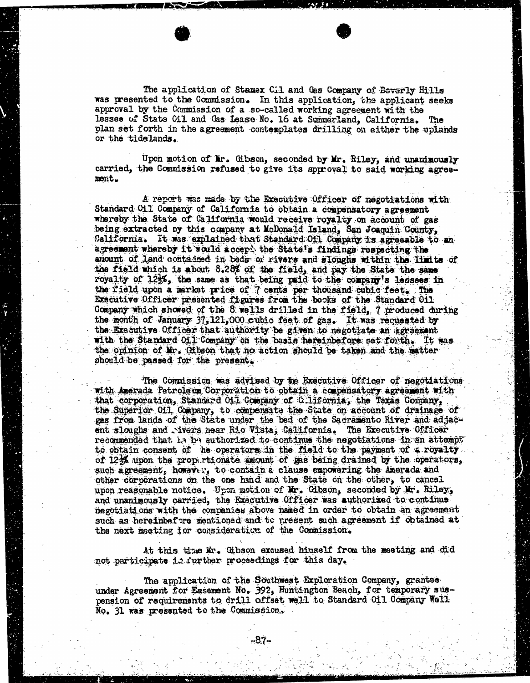The application of Stamex Cil and Gas Company of Beverly Hills was presented to the Commission. In this application, the applicant seeks approval by the Commission of a so-called working agreement with the lessee of State Oil and Gas Lease No. 16 at Summerland, California. The plan set forth in the agreement contemplates drilling on either the uplands or the tidelands.

Upon motion of Mr. Gibson, seconded by Mr. Riley, and unanimously carried, the Commission refused to give its approval to said working agreement.

A report was made by the Executive Officer of negotiations with Standard Oil Company of California to obtain a compensatory agreement whereby the State of California would receive royalty on account of gas being extracted by this company at Mcdonald Island, San Joaquin County, California. It was explained that Standard Of1 Company is agreeable to an agreement whereby it would accept the State's findings respecting the ariount of land contained in beds or rivers and sloughs within the limits of the field which is about 8.28% of the field, and pay the State the same royalty of 123%, the same as that being paid to the company's lessees in the field upon a market price of 7 cents per thousand cubic feet. The Executive Officer presented figures from the books of the Standard oil Company which showed of the 8 wells drilled in the field, 7 produced during the month of January 37, 121,000 cubic feet of gas. It was requested by the Executive Officer that authority be given to negotiate an Agreement with the Standard Of1 Company on the basis hereinbefore set forth. It was. the opinion of Mr. Gibson that no action should be taken and the matter should be passed for the present.

The Commission was advised by the Executive Officer of negotiations with Amorada Petroleum Corporation to obtain a compensatory agreement with that corporation, Standard Oil Company of C.lifornia, the Texas Company, the Superior Oil Company, to compensate the State on account of drainage of gas from lands of the State under the bed of the Sacramento River and adjacent sloughs and . ivers hear Rio Vista, California. The Executive Officer recommended that is ba authorized to continus the negotiations in an attempt to obtain consent of he operators in the field to the payment of a royalty of 12% upon the propertionate amount of gas being drained by the operators, such agreement, however, to contain a clause empowering the Amerada and other corporations on the one hand and the State on the other, to cancel upon reasonable notice. Upon motion of Mr. Gibson, seconded by Mr. Riley, and unanimously carried, the Executive Officer was authorized to continus negotiations with the companies above named in order to obtain an agreement such as hereinbefore mentioned and to present such agreement if obtained at the next meeting for consideration of the Commission.

At this time Kr. Gibson excused himself from the meeting and did not participate is further proceedings for this day.

The application of the Southwest Exploration Company, grantee under Agreement for Easement No. 392, Huntington Beach, for temporary suspension of requirements to drill offset well to Standard Oil Company Well No. 31 was presented to the Commission,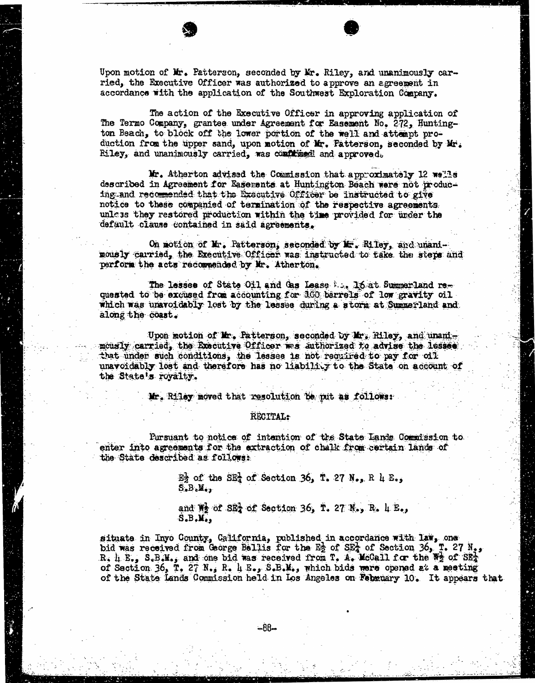Upon motion of Mr. Patterson, seconded by Mr. Riley, and unanimously carried, the Executive Officer was authorized to approve an agreement in accordance with the application of the Southwest Exploration Company.

The action of the Executive Officer in approving application of The Termo Company, grantee under Agreement for Easement No. 272, Huntington Beach, to block off the lower portion of the well and attempt production from the upper sand, upon motion of Mr. Fatterson, seconded by Mr. Riley, and unanimously carried, was confirmed and approved.

Mr. Atherton advised the Commission that approximately 12 wells described in Agreement for Easements at Huntington Beach ware not producing and recommended that the Executive Officer be instructed to give notice to these companied of termination of the respective agreements unless they restored production within the time provided for under the default clause contained in said agreements.

On motion of Mr. Patterson, seconded by If. Riley, and unani- mously carried, the Executive Officer was instructed to take the steps and perform the acts recommended by Mr. Atherton.

The losses of State Oil and Gas Lease ... 16 at Summerland requested to be excused from accounting for 160 barrels of low gravity oil which was unavoidably lost by the leasee during a storm at Summerland and along the coast.

Upon motion of Mr. Patterson, seconded by Mr. Riley, and unandmously carried, the Executive Officer was authorized to advise the lessee that under such conditions, the lesses is not required to pay for oil unavoidably lost and therefore has no liability to the State on account of the State's royalty.

Mr. Riley moved that resolution be put as follows:

## RECITAL:

Pursuant to notice of intention of the State Lanie Commission to enter into agreements for the extraction of chalk from certain lands of the State described as follows:

> $E_2$  of the  $SE_4$  of Section 36, T. 27 N., R 4 E.,  $S$ . $B$ . $M$ .,

and  $\overline{W}$  of SE<sub>4</sub> of Section 36, T. 27 N., R. 4 E.,  $S.B.M.$ 

situate in Inyo County, California, published in accordance with law, one bid was received from George Bellis for the  $E_2$  of SEA of Section 36, T. 27  $N_{est}$ R. 4 E., S.B.M., and one bid was received from T. A. McCall for the We of SEA of Section 36, T. 27  $N_{\bullet}$ , R. 4 E., S.B.M., which bids were opened at a meeting of the State Lands Commission held in Los Angeles on February 10. It appears that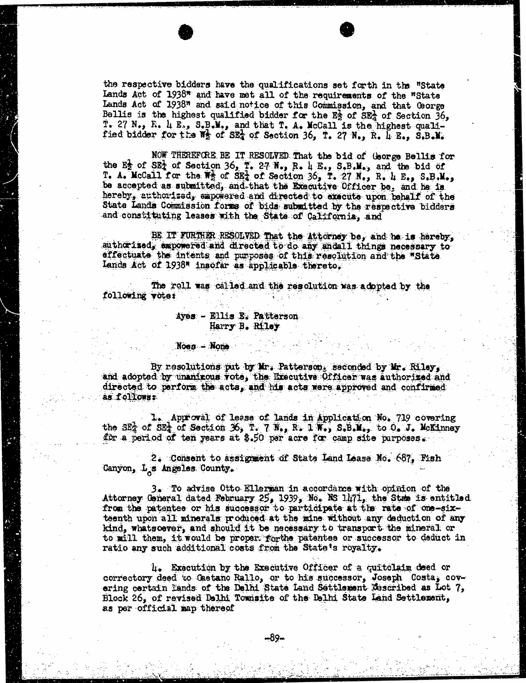the respective bidders have the qualifications set forth in the "State Lands Act of 1938" and have met all of the requirements of the "State Lands Act of 1938" and said notice of this Commission, and that George Bellis is the highest qualified bidder for the  $E_2$  of  $SE_4$  of Section 36, T. 27 N., R. 4 E., S.B.M., and that T. A. McCall is the highest quali-<br>fied bidder for the Wg of SEA of Section 36, T. 27 N., R. 4 E., S.B.M.

NOW THEREFORE BE IT RESOLVED That the bid of George Bellis for the  $E_2$  of  $SE_4$  of Section 36, T. 27 N., R. 4 E., S.B.M., and the bid of T. A. McCall for the  $\overline{W}$  of SE<sub>4</sub> of Section 36, T. 27 N., R. 4 E., S.B.M., be accepted as submitted, and that the Executive Officer be, and he is hereby, authorized, empowered and directed to execute upon behalf of the State Lands Commission forms of bids submitted by the respective bidders and constituting leases with the State of California, and

BE. IT FURTHER RESOLVED That the Attorney be, and be is hereby, authorised, empowered and directed to do any andall things necessary to effectuate the intents and purposes of this resolution and the "State Lands Act of 1938" insofar as applicable thereto.

The roll was called and the resolution was adopted by the following votes

## Ayes - Ellis E. Patterson Harry B. Riley

## Noes - None

By resolutions put by Mr. Patterson, seconded by Mr. Riley, and adopted by unanimous vote, the Executive Officer was authorized and directed to perform the acts, and his acts were approved and confirmed as follows:

Approval of lease of lands in Application No. 719 covering the SET of Section 36, T. 7 N., R. 1 W., S.B.M., to O. J. McKinney for a period of ten years at \$.50 per acre for camp site purposes.

2. Consent to assignment of State Land Lease No. 687, Fish Canyon, L<sub>os</sub> Angeles County.

3. To advise Otto Ellerman in accordance with opinion of the Attorney General dated February 25, 1939, No. NS 1471, the State is entitled from the patentee or his successor to participate at the rate of one-sixteenth upon all minerals produced at the mine without any deduction of any kind, whatsoever, and should it be necessary to transport the mineral or to will them, it would be proper forthe patentes or successor to deduct in ratio any such additional costs from the State's royalty.

4. Execution by the Executive Officer of a quitclaim deed or correctory deed to Gaetano Rallo, or to his successor, Joseph Costa, ering certain Lands of the Delhi State Land Settlement described as Lot 7, Block 26, of revised Delhi Tomisite of the Delhi State Land Settlement, as per official map thereof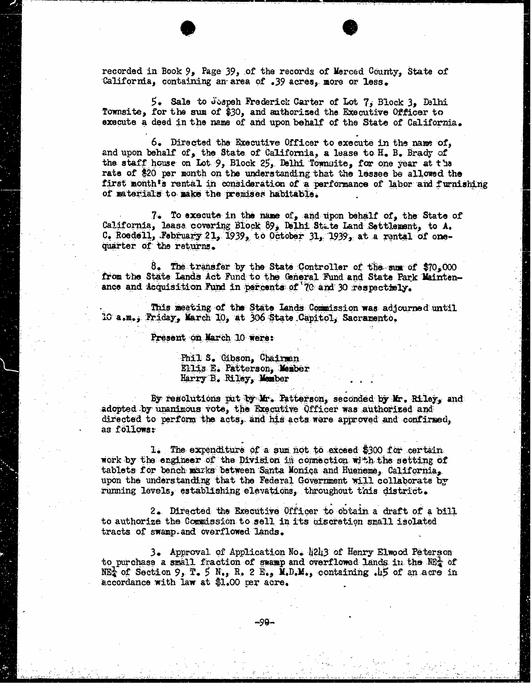recorded in Book 9, Page 39, of the records of Merced County, State of California, containing an area of .39 acres, more or less.

5. Sale to Jospeh Frederick Carter of Lot 7, Block 3, Delhi Townsite, for the sum of \$30, and authorised the Executive Officer to execute a deed in the name of and upon behalf of the State of California.

6. Directed the Executive Officer to execute in the name of, and upon behalf of, the State of California, a lease to H. B. Brady of the staff house on Lot 9, Block 25, Delhi Townuite, for one year at tha rate of \$20 per month on the understanding that the lessee be allowed the first month's rental in consideration of a performance of labor and furnishing of materials to make the premises habitable.

7. To execute in the name of, and upon behalf of, the State of California, leasa covering Block 89, Delhi State Land Settlement, to A. C. Roedell, February 21, 1939, to October 31, 1939, at a rental of one-<br>quarter of the returns.

8. The transfer by the State Controller of the sum of  $$70,000$ from the State Lands Act Fund to the General Fund and State Park Maintenance and Acquisition Fund in percents of 70 and 30 respectiely.

This meeting of the State Lands Commission was adjourned until 10 a.m.; Friday, March 10, at 306 State Capitol, Sacramento.

Present on March 10 were:

Phil S. Gibson, Chairman Ellis E. Patterson, Member Harry B. Riley, Member

By resolutions put by Mr. Patterson, seconded by Mr. Riley, and adopted by unanimous vote, the Executive Officer was authorized and directed to perform the acts, and his acts were approved and confirmed, as follows:

1. The expenditure of a sum not to exceed \$300 for certain work by the engineer of the Division in connection with the setting of tablets for bench marks between Santa Monica and Hueneme, California, upon the understanding that the Federal Government will collaborate by running levels, establishing elevations, throughout this district.

2. Directed the Executive Officer to obtain a draft of a bill to authorize the Commission to sell in its discretion small isolated tracts of swamp- and overflowed lands.

3. Approval of Application No. 4243 of Henry Elwood Peterson to purchase a small fraction of swamp and overflowed lands in the NBA of  $NE_4^L$  of Section 9, T. 5  $N_{\bullet}$ , R. 2  $E_{\bullet}$ , M.D.M., containing .45 of an acre in accordance with law at \$1.00 per acre.